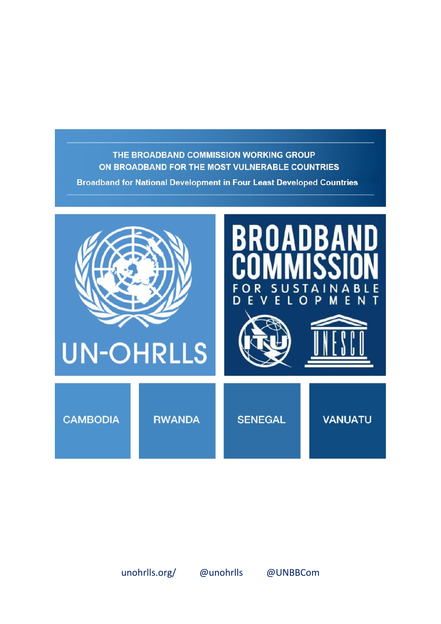## THE BROADBAND COMMISSION WORKING GROUP ON BROADBAND FOR THE MOST VULNERABLE COUNTRIES

**Broadband for National Development in Four Least Developed Countries** 

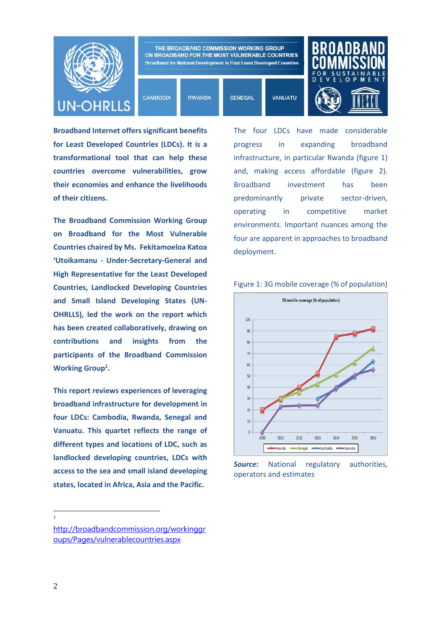

**Broadband Internet offers significant benefits for Least Developed Countries (LDCs). It is a transformational tool that can help these countries overcome vulnerabilities, grow their economies and enhance the livelihoods of their citizens.** 

**The Broadband Commission Working Group on Broadband for the Most Vulnerable Countries chaired by Ms. Fekitamoeloa Katoa 'Utoikamanu - Under-Secretary-General and High Representative for the Least Developed Countries, Landlocked Developing Countries and Small Island Developing States (UN-OHRLLS), led the work on the report which has been created collaboratively, drawing on contributions and insights from the participants of the Broadband Commission**  Working Group<sup>1</sup>.

**This report reviews experiences of leveraging broadband infrastructure for development in four LDCs: Cambodia, Rwanda, Senegal and Vanuatu. This quartet reflects the range of different types and locations of LDC, such as landlocked developing countries, LDCs with access to the sea and small island developing states, located in Africa, Asia and the Pacific.**

The four LDCs have made considerable progress in expanding broadband infrastructure, in particular Rwanda (figure 1) and, making access affordable (figure 2). Broadband investment has been predominantly private sector-driven, operating in competitive market environments. Important nuances among the four are apparent in approaches to broadband deployment.





**Source:** National regulatory authorities, operators and estimates

 $\frac{1}{1}$ 

[http://broadbandcommission.org/workinggr](http://broadbandcommission.org/workinggroups/Pages/vulnerablecountries.aspx) [oups/Pages/vulnerablecountries.aspx](http://broadbandcommission.org/workinggroups/Pages/vulnerablecountries.aspx)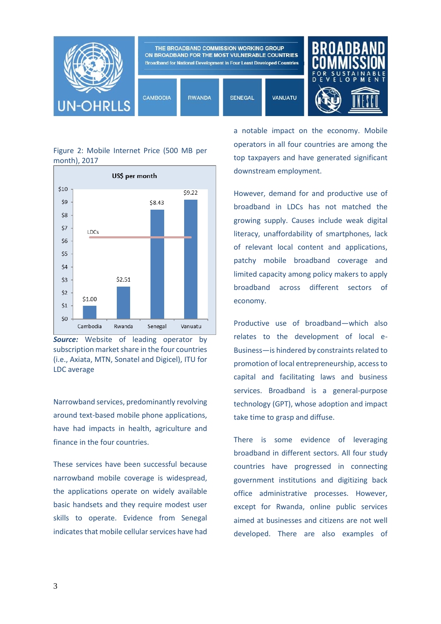

## Figure 2: Mobile Internet Price (500 MB per month), 2017



**Source:** Website of leading operator by subscription market share in the four countries (i.e., Axiata, MTN, Sonatel and Digicel), ITU for LDC average

Narrowband services, predominantly revolving around text-based mobile phone applications, have had impacts in health, agriculture and finance in the four countries.

These services have been successful because narrowband mobile coverage is widespread, the applications operate on widely available basic handsets and they require modest user skills to operate. Evidence from Senegal indicates that mobile cellular services have had a notable impact on the economy. Mobile operators in all four countries are among the top taxpayers and have generated significant downstream employment.

However, demand for and productive use of broadband in LDCs has not matched the growing supply. Causes include weak digital literacy, unaffordability of smartphones, lack of relevant local content and applications, patchy mobile broadband coverage and limited capacity among policy makers to apply broadband across different sectors of economy.

Productive use of broadband—which also relates to the development of local e-Business—is hindered by constraints related to promotion of local entrepreneurship, access to capital and facilitating laws and business services. Broadband is a general-purpose technology (GPT), whose adoption and impact take time to grasp and diffuse.

There is some evidence of leveraging broadband in different sectors. All four study countries have progressed in connecting government institutions and digitizing back office administrative processes. However, except for Rwanda, online public services aimed at businesses and citizens are not well developed. There are also examples of